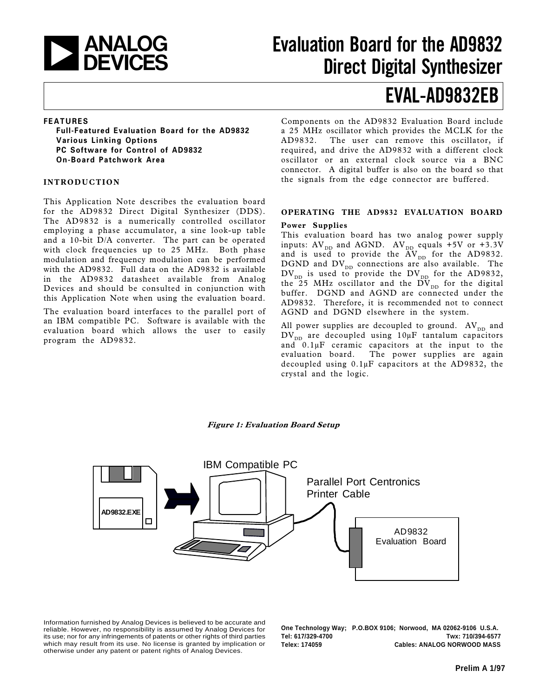

## Evaluation Board for the AD9832 Direct Digital Synthesizer

## EVAL-AD9832EB

#### FEATURES

Full-Featured Evaluation Board for the AD9832 Various Linking Options PC Software for Control of AD9832 On-Board Patchwork Area

#### INTRODUCTION

This Application Note describes the evaluation board for the AD9832 Direct Digital Synthesizer (DDS). The AD9832 is a numerically controlled oscillator employing a phase accumulator, a sine look-up table and a 10-bit D/A converter. The part can be operated with clock frequencies up to 25 MHz. Both phase modulation and frequency modulation can be performed with the AD9832. Full data on the AD9832 is available in the AD9832 datasheet available from Analog Devices and should be consulted in conjunction with this Application Note when using the evaluation board.

The evaluation board interfaces to the parallel port of an IBM compatible PC. Software is available with the evaluation board which allows the user to easily program the AD9832.

Components on the AD9832 Evaluation Board include a 25 MHz oscillator which provides the MCLK for the AD9832. The user can remove this oscillator, if required, and drive the AD9832 with a different clock oscillator or an external clock source via a BNC connector. A digital buffer is also on the board so that the signals from the edge connector are buffered.

#### OPERATING THE AD9832 EVALUATION BOARD

#### Power Supplies

This evaluation board has two analog power supply inputs:  $\mathrm{AV}_{\texttt{DD}}$  and AGND.  $\mathrm{AV}_{\texttt{DD}}$  equals +5V or +3.3V and is used to provide the  $\text{AV}_{\text{\tiny{DD}}}$  for the AD9832. DGND and  $DV_{DD}$  connections are also available. The  $\text{DV}_\text{DD}$  is used to provide the  $\text{DV}_\text{DD}$  for the AD9832, the 25 MHz oscillator and the  $\text{DV}_\text{DD}$  for the digital buffer. DGND and AGND are connected under the AD9832. Therefore, it is recommended not to connect AGND and DGND elsewhere in the system.

All power supplies are decoupled to ground.  $AV_{DD}$  and  $DV_{DD}$  are decoupled using 10µF tantalum capacitors and  $0.1\mu$ F ceramic capacitors at the input to the evaluation board. The power supplies are again decoupled using 0.1µF capacitors at the AD9832, the crystal and the logic.

#### Figure 1: Evaluation Board Setup



Information furnished by Analog Devices is believed to be accurate and reliable. However, no responsibility is assumed by Analog Devices for its use; nor for any infringements of patents or other rights of third parties which may result from its use. No license is granted by implication or otherwise under any patent or patent rights of Analog Devices.

**One Technology Way; P.O.BOX 9106; Norwood, MA 02062-9106 U.S.A. Tel: 617/329-4700 Twx: 710/394-6577 Telex: 174059 Cables: ANALOG NORWOOD MASS**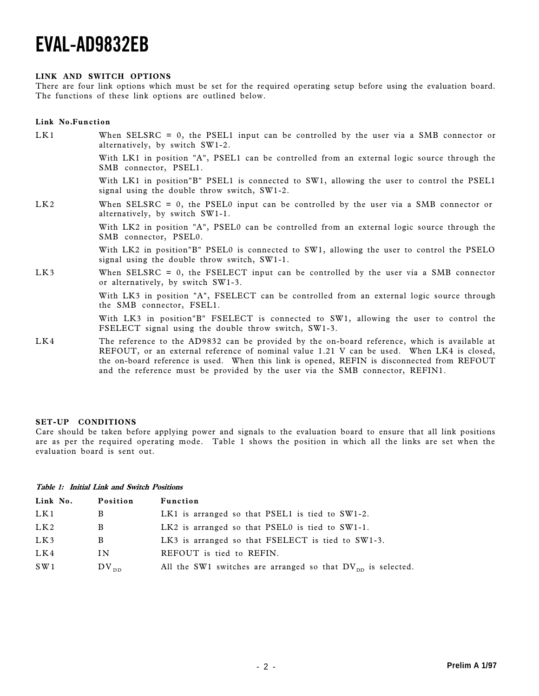#### LINK AND SWITCH OPTIONS

There are four link options which must be set for the required operating setup before using the evaluation board. The functions of these link options are outlined below.

#### Link No.Function

| LK1 | When SELSRC = $0$ , the PSEL1 input can be controlled by the user via a SMB connector or<br>alternatively, by switch SW1-2.                                                                                                                                                              |
|-----|------------------------------------------------------------------------------------------------------------------------------------------------------------------------------------------------------------------------------------------------------------------------------------------|
|     | With LK1 in position "A", PSEL1 can be controlled from an external logic source through the<br>SMB connector, PSEL1.                                                                                                                                                                     |
|     | With LK1 in position "B" PSEL1 is connected to SW1, allowing the user to control the PSEL1<br>signal using the double throw switch, SW1-2.                                                                                                                                               |
| LK2 | When SELSRC $= 0$ , the PSEL0 input can be controlled by the user via a SMB connector or<br>alternatively, by switch SW1-1.                                                                                                                                                              |
|     | With LK2 in position "A", PSELO can be controlled from an external logic source through the<br>SMB connector, PSEL0.                                                                                                                                                                     |
|     | With LK2 in position "B" PSELO is connected to SW1, allowing the user to control the PSELO<br>signal using the double throw switch, SW1-1.                                                                                                                                               |
| LK3 | When SELSRC = $0$ , the FSELECT input can be controlled by the user via a SMB connector<br>or alternatively, by switch SW1-3.                                                                                                                                                            |
|     | With LK3 in position "A", FSELECT can be controlled from an external logic source through<br>the SMB connector, FSEL1.                                                                                                                                                                   |
|     | With LK3 in position B FSELECT is connected to SW1, allowing the user to control the<br>FSELECT signal using the double throw switch, SW1-3.                                                                                                                                             |
| LK4 | The reference to the AD9832 can be provided by the on-board reference, which is available at<br>REFOUT, or an external reference of nominal value 1.21 V can be used. When LK4 is closed,<br>the on-board reference is used. When this link is opened, REFIN is disconnected from REFOUT |

#### SET-UP CONDITIONS

Care should be taken before applying power and signals to the evaluation board to ensure that all link positions are as per the required operating mode. Table 1 shows the position in which all the links are set when the evaluation board is sent out.

and the reference must be provided by the user via the SMB connector, REFIN1.

#### Table 1: Initial Link and Switch Positions

| Link No. | Position         | Function                                                         |
|----------|------------------|------------------------------------------------------------------|
| LK1      | В                | LK1 is arranged so that PSEL1 is tied to SW1-2.                  |
| LK2      | B                | LK2 is arranged so that $PSEL0$ is tied to $SW1-1$ .             |
| LK3      | B                | LK3 is arranged so that FSELECT is tied to SW1-3.                |
| LK4      | IN               | REFOUT is tied to REFIN.                                         |
| S W1     | $\rm DV_{\rm\,}$ | All the SW1 switches are arranged so that $DV_{nn}$ is selected. |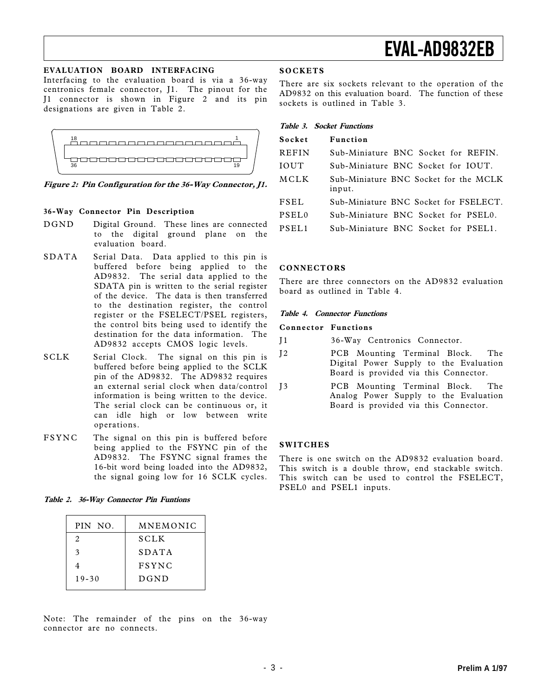### EVALUATION BOARD INTERFACING

Interfacing to the evaluation board is via a 36-way centronics female connector, J1. The pinout for the J1 connector is shown in Figure 2 and its pin designations are given in Table 2.



Figure 2: Pin Configuration for the 36-Way Connector, J1.

### 36-Way Connector Pin Description

- DGND Digital Ground. These lines are connected to the digital ground plane on the evaluation board.
- SDATA Serial Data. Data applied to this pin is buffered before being applied to the AD9832. The serial data applied to the SDATA pin is written to the serial register of the device. The data is then transferred to the destination register, the control register or the FSELECT/PSEL registers, the control bits being used to identify the destination for the data information. The AD9832 accepts CMOS logic levels.
- SCLK Serial Clock. The signal on this pin is buffered before being applied to the SCLK pin of the AD9832. The AD9832 requires an external serial clock when data/control information is being written to the device. The serial clock can be continuous or, it can idle high or low between write operations.
- FSYNC The signal on this pin is buffered before being applied to the FSYNC pin of the AD9832. The FSYNC signal frames the 16-bit word being loaded into the AD9832, the signal going low for 16 SCLK cycles.

| Table 2. 36-Way Connector Pin Funtions |  |  |  |  |  |
|----------------------------------------|--|--|--|--|--|
|----------------------------------------|--|--|--|--|--|

| PIN NO.   | MNEMONIC     |
|-----------|--------------|
| 2         | <b>SCLK</b>  |
| 3         | SDATA        |
|           | <b>FSYNC</b> |
| $19 - 30$ | DGND         |
|           |              |

#### Note: The remainder of the pins on the 36-way connector are no connects.

#### **SOCKETS**

There are six sockets relevant to the operation of the AD9832 on this evaluation board. The function of these sockets is outlined in Table 3.

| Table 3. Socket Functions |
|---------------------------|
|---------------------------|

| Socket       | <b>Function</b>                                 |
|--------------|-------------------------------------------------|
| <b>REFIN</b> | Sub-Miniature BNC Socket for REFIN.             |
| <b>IOUT</b>  | Sub-Miniature BNC Socket for IOUT.              |
| MCLK         | Sub-Miniature BNC Socket for the MCLK<br>input. |
| FSEL         | Sub-Miniature BNC Socket for FSELECT.           |
| PSEL0        | Sub-Miniature BNC Socket for PSEL0.             |
| PSEL1        | Sub-Miniature BNC Socket for PSEL1.             |

#### **CONNECTORS**

There are three connectors on the AD9832 evaluation board as outlined in Table 4.

#### Table 4. Connector Functions

#### Connector Functions

| T 1 | 36-Way Centronics Connector. |  |
|-----|------------------------------|--|
|-----|------------------------------|--|

- J2 PCB Mounting Terminal Block. The Digital Power Supply to the Evaluation Board is provided via this Connector.
- J3 PCB Mounting Terminal Block. The Analog Power Supply to the Evaluation Board is provided via this Connector.

#### **SWITCHES**

There is one switch on the AD9832 evaluation board. This switch is a double throw, end stackable switch. This switch can be used to control the FSELECT, PSEL0 and PSEL1 inputs.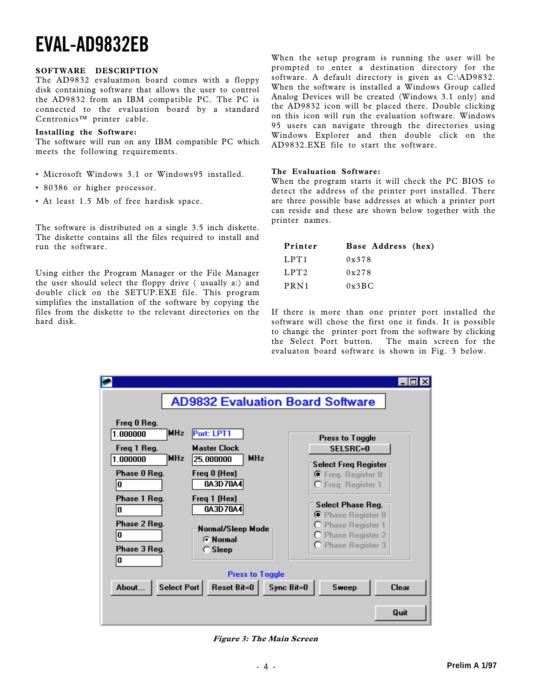#### SOFTWARE DESCRIPTION

The AD9832 evaluatmon board comes with a floppy disk containing software that allows the user to control the AD9832 from an IBM compatible PC. The PC is connected to the evaluation board by a standard  $Centronic<sup>TM</sup>$  printer cable.

#### Installing the Software:

The software will run on any IBM compatible PC which meets the following requirements.

- Microsoft Windows 3.1 or Windows95 installed.
- 80386 or higher processor.
- At least 1.5 Mb of free hardisk space.

The software is distributed on a single 3.5 inch diskette. The diskette contains all the files required to install and run the software.

Using either the Program Manager or the File Manager the user should select the floppy drive ( usually a:) and double click on the SETUP.EXE file. This program simplifies the installation of the software by copying the files from the diskette to the relevant directories on the hard disk.

When the setup program is running the user will be prompted to enter a destination directory for the software. A default directory is given as C:\AD9832. When the software is installed a Windows Group called Analog Devices will be created (Windows 3.1 only) and the AD9832 icon will be placed there. Double clicking on this icon will run the evaluation software. Windows 95 users can navigate through the directories using Windows Explorer and then double click on the AD9832.EXE file to start the software.

#### The Evaluation Software:

When the program starts it will check the PC BIOS to detect the address of the printer port installed. There are three possible base addresses at which a printer port can reside and these are shown below together with the printer names.

| Printer | Base Address (hex)      |  |
|---------|-------------------------|--|
| LPT1    | 0x378                   |  |
| LPT2    | 0x278                   |  |
| PRN1    | $0 \times 3 \text{B}$ C |  |

If there is more than one printer port installed the software will chose the first one it finds. It is possible to change the printer port from the software by clicking the Select Port button. The main screen for the evaluaton board software is shown in Fig. 3 below.



Figure 3: The Main Screen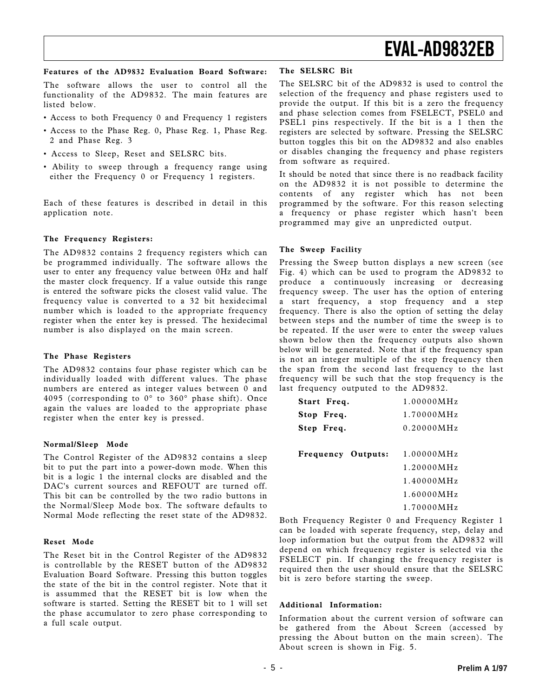#### Features of the AD9832 Evaluation Board Software:

The software allows the user to control all the functionality of the AD9832. The main features are listed below.

- Access to both Frequency 0 and Frequency 1 registers
- Access to the Phase Reg. 0, Phase Reg. 1, Phase Reg. 2 and Phase Reg. 3
- Access to Sleep, Reset and SELSRC bits.
- Ability to sweep through a frequency range using either the Frequency 0 or Frequency 1 registers.

Each of these features is described in detail in this application note.

#### The Frequency Registers:

The AD9832 contains 2 frequency registers which can be programmed individually. The software allows the user to enter any frequency value between 0Hz and half the master clock frequency. If a value outside this range is entered the software picks the closest valid value. The frequency value is converted to a 32 bit hexidecimal number which is loaded to the appropriate frequency register when the enter key is pressed. The hexidecimal number is also displayed on the main screen.

#### The Phase Registers

The AD9832 contains four phase register which can be individually loaded with different values. The phase numbers are entered as integer values between 0 and 4095 (corresponding to 0° to 360° phase shift). Once again the values are loaded to the appropriate phase register when the enter key is pressed.

#### Normal/Sleep Mode

The Control Register of the AD9832 contains a sleep bit to put the part into a power-down mode. When this bit is a logic 1 the internal clocks are disabled and the DAC's current sources and REFOUT are turned off. This bit can be controlled by the two radio buttons in the Normal/Sleep Mode box. The software defaults to Normal Mode reflecting the reset state of the AD9832.

#### Reset Mode

The Reset bit in the Control Register of the AD9832 is controllable by the RESET button of the AD9832 Evaluation Board Software. Pressing this button toggles the state of the bit in the control register. Note that it is assummed that the RESET bit is low when the software is started. Setting the RESET bit to 1 will set the phase accumulator to zero phase corresponding to a full scale output.

#### The SELSRC Bit

The SELSRC bit of the AD9832 is used to control the selection of the frequency and phase registers used to provide the output. If this bit is a zero the frequency and phase selection comes from FSELECT, PSEL0 and PSEL1 pins respectively. If the bit is a 1 then the registers are selected by software. Pressing the SELSRC button toggles this bit on the AD9832 and also enables or disables changing the frequency and phase registers from software as required.

It should be noted that since there is no readback facility on the AD9832 it is not possible to determine the contents of any register which has not been programmed by the software. For this reason selecting a frequency or phase register which hasn't been programmed may give an unpredicted output.

#### The Sweep Facility

Pressing the Sweep button displays a new screen (see Fig. 4) which can be used to program the AD9832 to produce a continuously increasing or decreasing frequency sweep. The user has the option of entering a start frequency, a stop frequency and a step frequency. There is also the option of setting the delay between steps and the number of time the sweep is to be repeated. If the user were to enter the sweep values shown below then the frequency outputs also shown below will be generated. Note that if the frequency span is not an integer multiple of the step frequency then the span from the second last frequency to the last frequency will be such that the stop frequency is the last frequency outputed to the AD9832.

| Start Freq.               | 1.00000MHz               |
|---------------------------|--------------------------|
| Stop Freq.                | 1.70000MHz               |
| Step Freq.                | 0.20000MHz               |
|                           |                          |
| <b>Frequency Outputs:</b> | $1.00000 \,\mathrm{MHz}$ |
|                           | $1.20000\,\rm{MHz}$      |
|                           | $1.40000 \,\mathrm{MHz}$ |
|                           | 1.60000MHz               |
|                           | 1.70000MHz               |

Both Frequency Register 0 and Frequency Register 1 can be loaded with seperate frequency, step, delay and loop information but the output from the AD9832 will depend on which frequency register is selected via the FSELECT pin. If changing the frequency register is required then the user should ensure that the SELSRC bit is zero before starting the sweep.

#### Additional Information:

Information about the current version of software can be gathered from the About Screen (accessed by pressing the About button on the main screen). The About screen is shown in Fig. 5.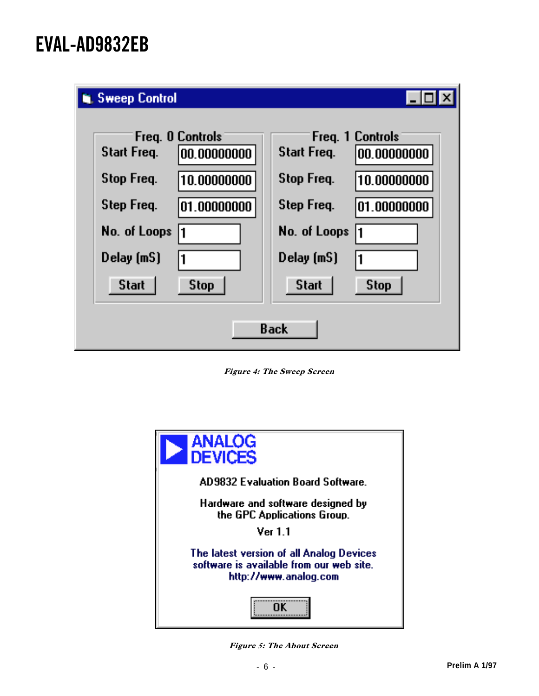| <b>W</b> Sweep Control                                                                                                                         |                                                                                                                                                   |  |  |  |
|------------------------------------------------------------------------------------------------------------------------------------------------|---------------------------------------------------------------------------------------------------------------------------------------------------|--|--|--|
| <b>Freq. O Controls</b><br><b>Start Freq.</b><br>00.00000000<br><b>Stop Freq.</b><br>10.00000000<br>Step Freq.<br>101.00000000<br>No. of Loops | Freq. 1 Controls<br><b>Start Freq.</b><br> 00.00000000<br>Stop Freq.<br>10.00000000<br>Step Freq.<br>101.00000000<br>No. of Loops<br>$\mathbf{1}$ |  |  |  |
| $Delay$ [mS]<br><b>Start</b><br><b>Stop</b>                                                                                                    | Delay (mS)<br>$\overline{1}$<br><b>Start</b><br><b>Stop</b>                                                                                       |  |  |  |
| Back                                                                                                                                           |                                                                                                                                                   |  |  |  |

Figure 4: The Sweep Screen



Figure 5: The About Screen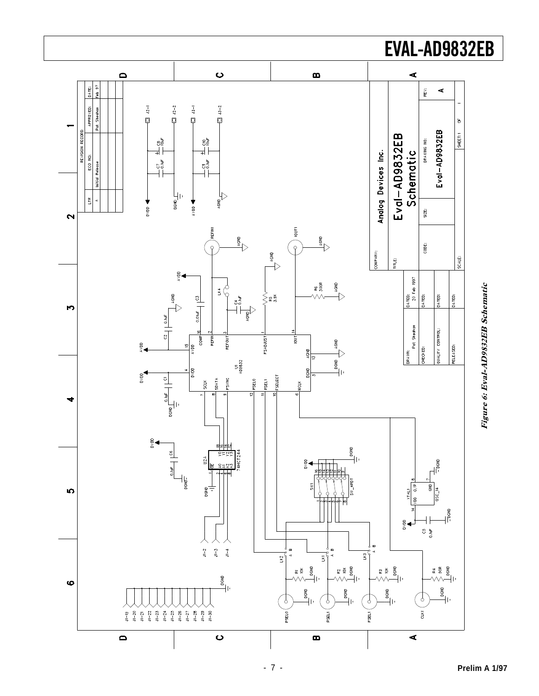

# Figure 6: Eval-AD9832EB Schematic Figure 6: Eval-AD9832EB Schematic

## **Preliminary Technical Data AD7002** EVAL-AD9832EB